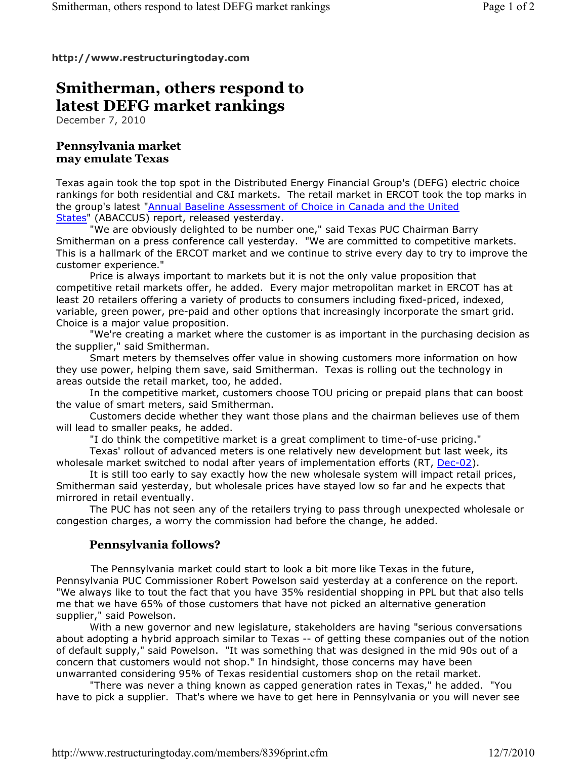#### **http://www.restructuringtoday.com**

# **Smitherman, others respond to latest DEFG market rankings**

December 7, 2010

### **Pennsylvania market may emulate Texas**

Texas again took the top spot in the Distributed Energy Financial Group's (DEFG) electric choice rankings for both residential and C&I markets. The retail market in ERCOT took the top marks in the group's latest "Annual Baseline Assessment of Choice in Canada and the United States" (ABACCUS) report, released yesterday.

 "We are obviously delighted to be number one," said Texas PUC Chairman Barry Smitherman on a press conference call yesterday. "We are committed to competitive markets. This is a hallmark of the ERCOT market and we continue to strive every day to try to improve the customer experience."

 Price is always important to markets but it is not the only value proposition that competitive retail markets offer, he added. Every major metropolitan market in ERCOT has at least 20 retailers offering a variety of products to consumers including fixed-priced, indexed, variable, green power, pre-paid and other options that increasingly incorporate the smart grid. Choice is a major value proposition.

 "We're creating a market where the customer is as important in the purchasing decision as the supplier," said Smitherman.

 Smart meters by themselves offer value in showing customers more information on how they use power, helping them save, said Smitherman. Texas is rolling out the technology in areas outside the retail market, too, he added.

 In the competitive market, customers choose TOU pricing or prepaid plans that can boost the value of smart meters, said Smitherman.

 Customers decide whether they want those plans and the chairman believes use of them will lead to smaller peaks, he added.

"I do think the competitive market is a great compliment to time-of-use pricing."

 Texas' rollout of advanced meters is one relatively new development but last week, its wholesale market switched to nodal after years of implementation efforts (RT, Dec-02).

 It is still too early to say exactly how the new wholesale system will impact retail prices, Smitherman said yesterday, but wholesale prices have stayed low so far and he expects that mirrored in retail eventually.

 The PUC has not seen any of the retailers trying to pass through unexpected wholesale or congestion charges, a worry the commission had before the change, he added.

## **Pennsylvania follows?**

The Pennsylvania market could start to look a bit more like Texas in the future, Pennsylvania PUC Commissioner Robert Powelson said yesterday at a conference on the report. "We always like to tout the fact that you have 35% residential shopping in PPL but that also tells me that we have 65% of those customers that have not picked an alternative generation supplier," said Powelson.

 With a new governor and new legislature, stakeholders are having "serious conversations about adopting a hybrid approach similar to Texas -- of getting these companies out of the notion of default supply," said Powelson. "It was something that was designed in the mid 90s out of a concern that customers would not shop." In hindsight, those concerns may have been unwarranted considering 95% of Texas residential customers shop on the retail market.

 "There was never a thing known as capped generation rates in Texas," he added. "You have to pick a supplier. That's where we have to get here in Pennsylvania or you will never see